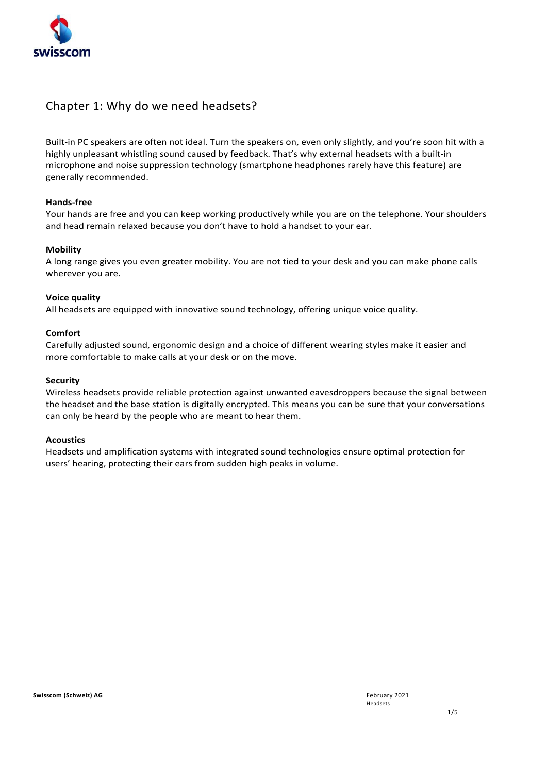

### Chapter 1: Why do we need headsets?

Built-in PC speakers are often not ideal. Turn the speakers on, even only slightly, and you're soon hit with a highly unpleasant whistling sound caused by feedback. That's why external headsets with a built-in microphone and noise suppression technology (smartphone headphones rarely have this feature) are generally recommended.

#### **Hands-free**

Your hands are free and you can keep working productively while you are on the telephone. Your shoulders and head remain relaxed because you don't have to hold a handset to your ear.

#### **Mobility**

A long range gives you even greater mobility. You are not tied to your desk and you can make phone calls wherever you are.

#### **Voice quality**

All headsets are equipped with innovative sound technology, offering unique voice quality.

#### **Comfort**

Carefully adjusted sound, ergonomic design and a choice of different wearing styles make it easier and more comfortable to make calls at your desk or on the move.

#### **Security**

Wireless headsets provide reliable protection against unwanted eavesdroppers because the signal between the headset and the base station is digitally encrypted. This means you can be sure that your conversations can only be heard by the people who are meant to hear them.

#### **Acoustics**

Headsets und amplification systems with integrated sound technologies ensure optimal protection for users' hearing, protecting their ears from sudden high peaks in volume.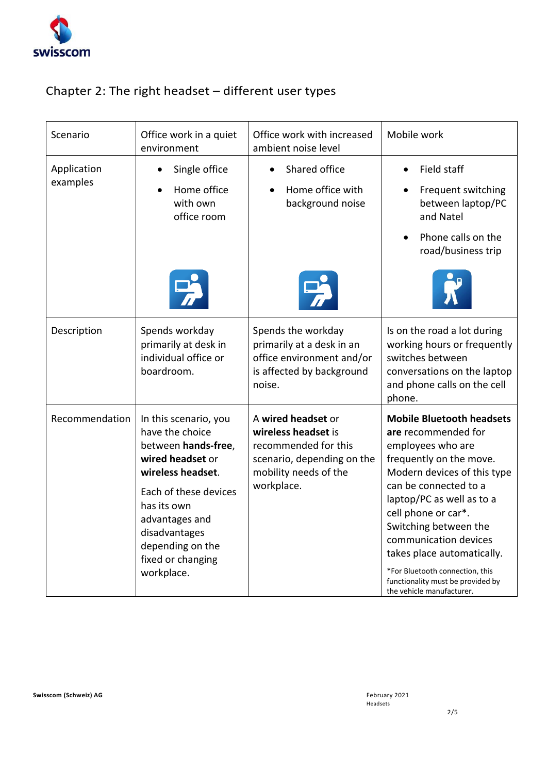

# Chapter 2: The right headset – different user types

| Scenario                | Office work in a quiet<br>environment                                                                                                                                                                                                      | Office work with increased<br>ambient noise level                                                                                      | Mobile work                                                                                                                                                                                                                                                                                                                                                                                              |  |
|-------------------------|--------------------------------------------------------------------------------------------------------------------------------------------------------------------------------------------------------------------------------------------|----------------------------------------------------------------------------------------------------------------------------------------|----------------------------------------------------------------------------------------------------------------------------------------------------------------------------------------------------------------------------------------------------------------------------------------------------------------------------------------------------------------------------------------------------------|--|
| Application<br>examples | Single office<br>Home office<br>with own<br>office room                                                                                                                                                                                    | Shared office<br>Home office with<br>background noise                                                                                  | Field staff<br>Frequent switching<br>between laptop/PC<br>and Natel<br>Phone calls on the<br>road/business trip                                                                                                                                                                                                                                                                                          |  |
| Description             | Spends workday<br>primarily at desk in<br>individual office or<br>boardroom.                                                                                                                                                               | Spends the workday<br>primarily at a desk in an<br>office environment and/or<br>is affected by background<br>noise.                    | Is on the road a lot during<br>working hours or frequently<br>switches between<br>conversations on the laptop<br>and phone calls on the cell<br>phone.                                                                                                                                                                                                                                                   |  |
| Recommendation          | In this scenario, you<br>have the choice<br>between hands-free,<br>wired headset or<br>wireless headset.<br>Each of these devices<br>has its own<br>advantages and<br>disadvantages<br>depending on the<br>fixed or changing<br>workplace. | A wired headset or<br>wireless headset is<br>recommended for this<br>scenario, depending on the<br>mobility needs of the<br>workplace. | <b>Mobile Bluetooth headsets</b><br>are recommended for<br>employees who are<br>frequently on the move.<br>Modern devices of this type<br>can be connected to a<br>laptop/PC as well as to a<br>cell phone or car*.<br>Switching between the<br>communication devices<br>takes place automatically.<br>*For Bluetooth connection, this<br>functionality must be provided by<br>the vehicle manufacturer. |  |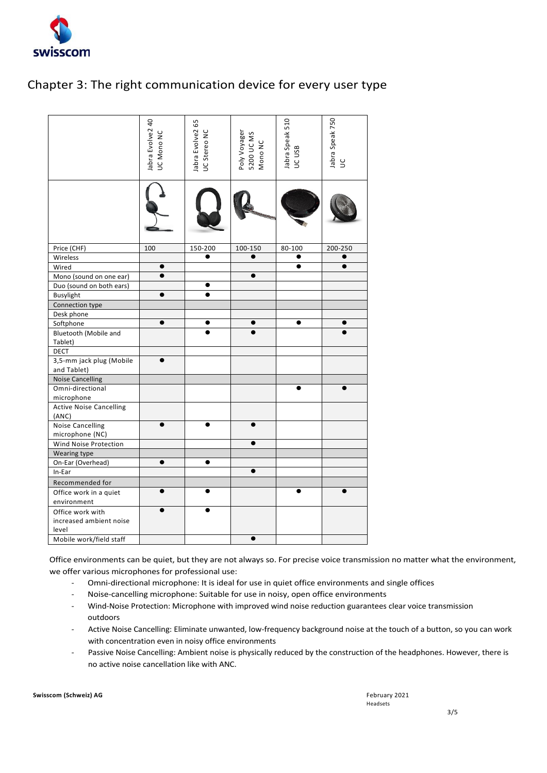

## Chapter 3: The right communication device for every user type

|                                                                                                                                                                                                                               | Jabra Evolve2 40<br>JC Mono NC                                                    | Jabra Evolve2 65<br><b>UC</b> Stereo NC | Poly Voyager<br>5200 UC MS<br>Mono NC | labra Speak 510<br>UC USB | Jabra Speak 750<br>$\cup$ |
|-------------------------------------------------------------------------------------------------------------------------------------------------------------------------------------------------------------------------------|-----------------------------------------------------------------------------------|-----------------------------------------|---------------------------------------|---------------------------|---------------------------|
|                                                                                                                                                                                                                               |                                                                                   |                                         |                                       |                           |                           |
|                                                                                                                                                                                                                               |                                                                                   |                                         |                                       |                           |                           |
| Price (CHF)                                                                                                                                                                                                                   | 100                                                                               | 150-200                                 | 100-150                               | 80-100                    | 200-250                   |
| Wireless                                                                                                                                                                                                                      |                                                                                   |                                         |                                       | $\bullet$                 |                           |
| Wired                                                                                                                                                                                                                         |                                                                                   |                                         |                                       |                           |                           |
| Mono (sound on one ear)                                                                                                                                                                                                       |                                                                                   |                                         |                                       |                           |                           |
| Duo (sound on both ears)                                                                                                                                                                                                      |                                                                                   |                                         |                                       |                           |                           |
| <b>Busylight</b>                                                                                                                                                                                                              | $\bullet$                                                                         |                                         |                                       |                           |                           |
| Connection type                                                                                                                                                                                                               |                                                                                   |                                         |                                       |                           |                           |
| Desk phone                                                                                                                                                                                                                    |                                                                                   |                                         |                                       |                           |                           |
| Softphone                                                                                                                                                                                                                     | $\bullet$                                                                         |                                         |                                       | e                         |                           |
| Bluetooth (Mobile and                                                                                                                                                                                                         |                                                                                   |                                         |                                       |                           |                           |
| Tablet)                                                                                                                                                                                                                       |                                                                                   |                                         |                                       |                           |                           |
| <b>DECT</b>                                                                                                                                                                                                                   |                                                                                   |                                         |                                       |                           |                           |
| 3,5-mm jack plug (Mobile                                                                                                                                                                                                      | ●                                                                                 |                                         |                                       |                           |                           |
| and Tablet)                                                                                                                                                                                                                   |                                                                                   |                                         |                                       |                           |                           |
| <b>Noise Cancelling</b>                                                                                                                                                                                                       |                                                                                   |                                         |                                       |                           |                           |
| Omni-directional                                                                                                                                                                                                              |                                                                                   |                                         |                                       |                           |                           |
| microphone                                                                                                                                                                                                                    |                                                                                   |                                         |                                       |                           |                           |
|                                                                                                                                                                                                                               |                                                                                   |                                         |                                       |                           |                           |
| <b>Active Noise Cancelling</b><br>(ANC)                                                                                                                                                                                       |                                                                                   |                                         |                                       |                           |                           |
|                                                                                                                                                                                                                               |                                                                                   |                                         |                                       |                           |                           |
| <b>Noise Cancelling</b>                                                                                                                                                                                                       |                                                                                   |                                         |                                       |                           |                           |
| microphone (NC)                                                                                                                                                                                                               |                                                                                   |                                         |                                       |                           |                           |
| Wind Noise Protection                                                                                                                                                                                                         |                                                                                   |                                         | ●                                     |                           |                           |
| Wearing type                                                                                                                                                                                                                  |                                                                                   |                                         |                                       |                           |                           |
| On-Ear (Overhead)                                                                                                                                                                                                             | $\bullet$                                                                         | $\bullet$                               |                                       |                           |                           |
| In-Ear                                                                                                                                                                                                                        |                                                                                   |                                         |                                       |                           |                           |
| Recommended for                                                                                                                                                                                                               |                                                                                   |                                         |                                       |                           |                           |
| Office work in a quiet                                                                                                                                                                                                        |                                                                                   |                                         |                                       |                           |                           |
| environment                                                                                                                                                                                                                   |                                                                                   |                                         |                                       |                           |                           |
| Office work with                                                                                                                                                                                                              |                                                                                   |                                         |                                       |                           |                           |
| increased ambient noise                                                                                                                                                                                                       |                                                                                   |                                         |                                       |                           |                           |
| level                                                                                                                                                                                                                         |                                                                                   |                                         |                                       |                           |                           |
| Mobile work/field staff                                                                                                                                                                                                       |                                                                                   |                                         | $\bullet$                             |                           |                           |
| Office environments can be quiet, but they are not always so. For precise voice transm<br>we offer various microphones for professional use:<br>Omni-directional microphone: It is ideal for use in quiet office environments |                                                                                   |                                         |                                       |                           |                           |
| Noise-cancelling microphone: Suitable for use in noisy, open office environm                                                                                                                                                  |                                                                                   |                                         |                                       |                           |                           |
| Wind-Noise Protection: Microphone with improved wind noise reduction guara                                                                                                                                                    |                                                                                   |                                         |                                       |                           |                           |
| outdoors                                                                                                                                                                                                                      |                                                                                   |                                         |                                       |                           |                           |
|                                                                                                                                                                                                                               | Active Noise Cancelling: Eliminate unwanted, low-frequency background noise a     |                                         |                                       |                           |                           |
| with concentration even in noisy office environments                                                                                                                                                                          |                                                                                   |                                         |                                       |                           |                           |
|                                                                                                                                                                                                                               | Passive Noise Cancelling: Ambient noise is physically reduced by the construction |                                         |                                       |                           |                           |
|                                                                                                                                                                                                                               | no active noise cancellation like with ANC.                                       |                                         |                                       |                           |                           |

Office environments can be quiet, but they are not always so. For precise voice transmission no matter what the environment, we offer various microphones for professional use:

- Omni-directional microphone: It is ideal for use in quiet office environments and single offices
- Noise-cancelling microphone: Suitable for use in noisy, open office environments
- Wind-Noise Protection: Microphone with improved wind noise reduction guarantees clear voice transmission outdoors
- Active Noise Cancelling: Eliminate unwanted, low-frequency background noise at the touch of a button, so you can work with concentration even in noisy office environments
- Passive Noise Cancelling: Ambient noise is physically reduced by the construction of the headphones. However, there is

**Swisscom (Schweiz) AG** February 2021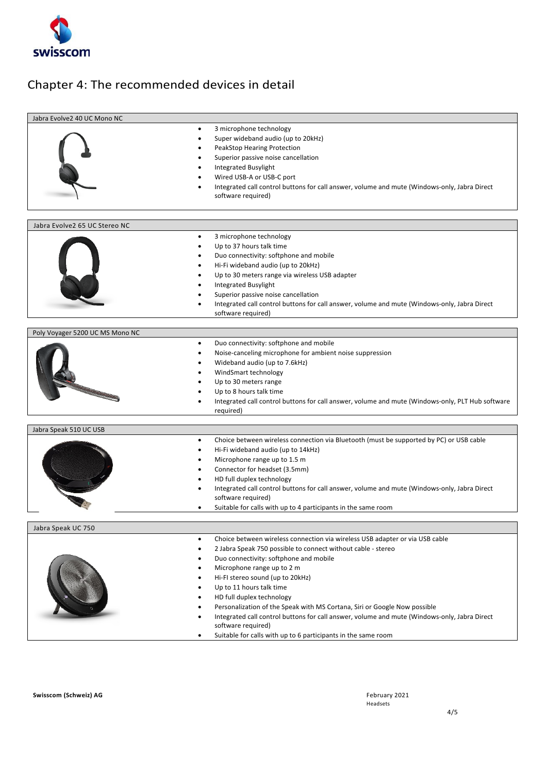

## Chapter 4: The recommended devices in detail

| Jabra Evolve2 40 UC Mono NC     |                                                                                                      |
|---------------------------------|------------------------------------------------------------------------------------------------------|
|                                 |                                                                                                      |
|                                 | 3 microphone technology<br>$\bullet$                                                                 |
|                                 | Super wideband audio (up to 20kHz)                                                                   |
|                                 | PeakStop Hearing Protection                                                                          |
|                                 | Superior passive noise cancellation                                                                  |
|                                 | <b>Integrated Busylight</b>                                                                          |
|                                 | Wired USB-A or USB-C port                                                                            |
|                                 | Integrated call control buttons for call answer, volume and mute (Windows-only, Jabra Direct         |
|                                 | software required)                                                                                   |
|                                 |                                                                                                      |
|                                 |                                                                                                      |
| Jabra Evolve2 65 UC Stereo NC   |                                                                                                      |
|                                 | 3 microphone technology<br>$\bullet$                                                                 |
|                                 | Up to 37 hours talk time                                                                             |
|                                 | Duo connectivity: softphone and mobile                                                               |
|                                 | Hi-Fi wideband audio (up to 20kHz)                                                                   |
|                                 |                                                                                                      |
|                                 | Up to 30 meters range via wireless USB adapter                                                       |
|                                 | <b>Integrated Busylight</b>                                                                          |
|                                 | Superior passive noise cancellation                                                                  |
|                                 | Integrated call control buttons for call answer, volume and mute (Windows-only, Jabra Direct         |
|                                 | software required)                                                                                   |
|                                 |                                                                                                      |
| Poly Voyager 5200 UC MS Mono NC |                                                                                                      |
|                                 | Duo connectivity: softphone and mobile                                                               |
|                                 | Noise-canceling microphone for ambient noise suppression                                             |
|                                 | Wideband audio (up to 7.6kHz)                                                                        |
|                                 | WindSmart technology                                                                                 |
|                                 | Up to 30 meters range                                                                                |
|                                 | Up to 8 hours talk time                                                                              |
|                                 | Integrated call control buttons for call answer, volume and mute (Windows-only, PLT Hub software     |
|                                 | required)                                                                                            |
|                                 |                                                                                                      |
| Jabra Speak 510 UC USB          |                                                                                                      |
|                                 | Choice between wireless connection via Bluetooth (must be supported by PC) or USB cable<br>$\bullet$ |
|                                 | Hi-Fi wideband audio (up to 14kHz)                                                                   |
|                                 | Microphone range up to 1.5 m                                                                         |
|                                 | Connector for headset (3.5mm)                                                                        |
|                                 | HD full duplex technology                                                                            |
|                                 | Integrated call control buttons for call answer, volume and mute (Windows-only, Jabra Direct         |
|                                 | software required)                                                                                   |
|                                 | Suitable for calls with up to 4 participants in the same room                                        |
|                                 |                                                                                                      |
| Jabra Speak UC 750              |                                                                                                      |
|                                 | Choice between wireless connection via wireless USB adapter or via USB cable<br>$\bullet$            |
|                                 | 2 Jabra Speak 750 possible to connect without cable - stereo                                         |
|                                 | Duo connectivity: softphone and mobile                                                               |
|                                 | Microphone range up to 2 m                                                                           |
|                                 | Hi-FI stereo sound (up to 20kHz)                                                                     |
|                                 |                                                                                                      |
|                                 | Up to 11 hours talk time                                                                             |
|                                 | HD full duplex technology                                                                            |
|                                 | Personalization of the Speak with MS Cortana, Siri or Google Now possible                            |
|                                 | Integrated call control buttons for call answer, volume and mute (Windows-only, Jabra Direct         |
|                                 | software required)                                                                                   |
|                                 | Suitable for calls with up to 6 participants in the same room                                        |